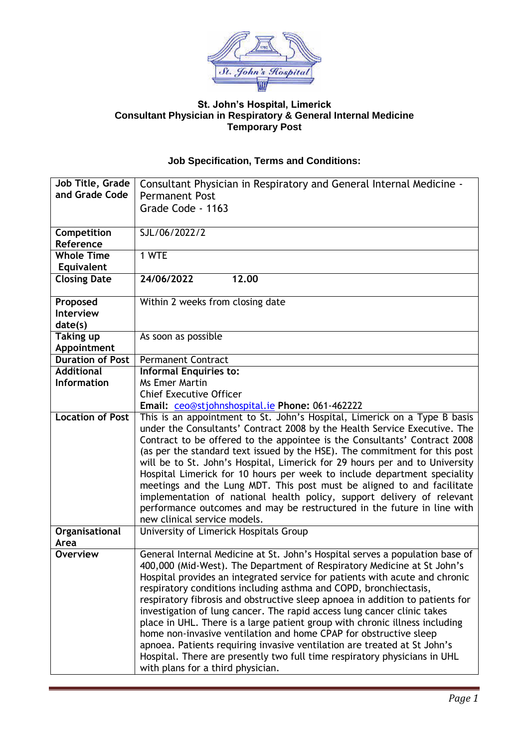

## **St. John's Hospital, Limerick Consultant Physician in Respiratory & General Internal Medicine Temporary Post**

## **Job Specification, Terms and Conditions:**

| Job Title, Grade        | Consultant Physician in Respiratory and General Internal Medicine -                                                                              |
|-------------------------|--------------------------------------------------------------------------------------------------------------------------------------------------|
| and Grade Code          | <b>Permanent Post</b>                                                                                                                            |
|                         | Grade Code - 1163                                                                                                                                |
|                         |                                                                                                                                                  |
| Competition             | SJL/06/2022/2                                                                                                                                    |
| Reference               |                                                                                                                                                  |
| <b>Whole Time</b>       | 1 WTE                                                                                                                                            |
| Equivalent              |                                                                                                                                                  |
| <b>Closing Date</b>     | 24/06/2022<br>12.00                                                                                                                              |
|                         |                                                                                                                                                  |
| Proposed                | Within 2 weeks from closing date                                                                                                                 |
| <b>Interview</b>        |                                                                                                                                                  |
| date(s)                 |                                                                                                                                                  |
| <b>Taking up</b>        | As soon as possible                                                                                                                              |
| Appointment             |                                                                                                                                                  |
| <b>Duration of Post</b> | <b>Permanent Contract</b>                                                                                                                        |
| <b>Additional</b>       | <b>Informal Enquiries to:</b>                                                                                                                    |
| <b>Information</b>      | <b>Ms Emer Martin</b>                                                                                                                            |
|                         | <b>Chief Executive Officer</b>                                                                                                                   |
|                         | Email: ceo@stjohnshospital.ie Phone: 061-462222                                                                                                  |
| <b>Location of Post</b> | This is an appointment to St. John's Hospital, Limerick on a Type B basis                                                                        |
|                         | under the Consultants' Contract 2008 by the Health Service Executive. The                                                                        |
|                         | Contract to be offered to the appointee is the Consultants' Contract 2008                                                                        |
|                         | (as per the standard text issued by the HSE). The commitment for this post                                                                       |
|                         | will be to St. John's Hospital, Limerick for 29 hours per and to University                                                                      |
|                         | Hospital Limerick for 10 hours per week to include department speciality                                                                         |
|                         | meetings and the Lung MDT. This post must be aligned to and facilitate                                                                           |
|                         | implementation of national health policy, support delivery of relevant                                                                           |
|                         | performance outcomes and may be restructured in the future in line with                                                                          |
|                         | new clinical service models.                                                                                                                     |
| Organisational          | University of Limerick Hospitals Group                                                                                                           |
| Area                    |                                                                                                                                                  |
| <b>Overview</b>         | General Internal Medicine at St. John's Hospital serves a population base of                                                                     |
|                         | 400,000 (Mid-West). The Department of Respiratory Medicine at St John's                                                                          |
|                         | Hospital provides an integrated service for patients with acute and chronic                                                                      |
|                         | respiratory conditions including asthma and COPD, bronchiectasis,                                                                                |
|                         | respiratory fibrosis and obstructive sleep apnoea in addition to patients for                                                                    |
|                         | investigation of lung cancer. The rapid access lung cancer clinic takes                                                                          |
|                         | place in UHL. There is a large patient group with chronic illness including<br>home non-invasive ventilation and home CPAP for obstructive sleep |
|                         | apnoea. Patients requiring invasive ventilation are treated at St John's                                                                         |
|                         |                                                                                                                                                  |
|                         | Hospital. There are presently two full time respiratory physicians in UHL                                                                        |
|                         | with plans for a third physician.                                                                                                                |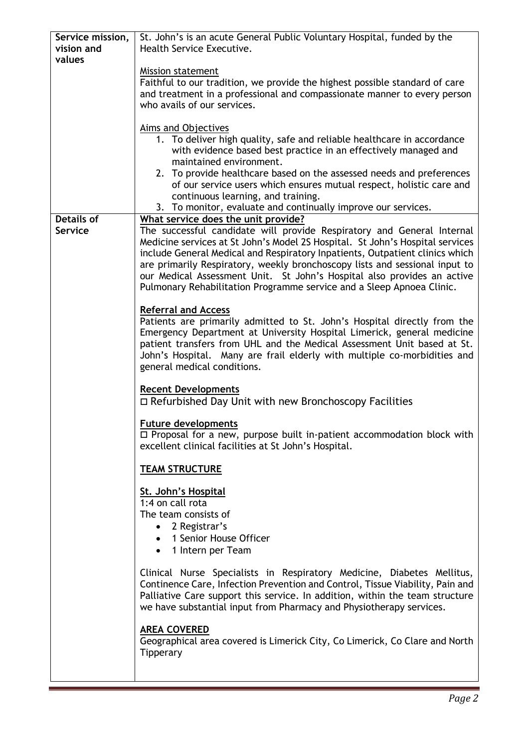| Service mission,  | St. John's is an acute General Public Voluntary Hospital, funded by the       |
|-------------------|-------------------------------------------------------------------------------|
| vision and        | Health Service Executive.                                                     |
| values            |                                                                               |
|                   | <b>Mission statement</b>                                                      |
|                   | Faithful to our tradition, we provide the highest possible standard of care   |
|                   | and treatment in a professional and compassionate manner to every person      |
|                   | who avails of our services.                                                   |
|                   |                                                                               |
|                   |                                                                               |
|                   | Aims and Objectives                                                           |
|                   | 1. To deliver high quality, safe and reliable healthcare in accordance        |
|                   | with evidence based best practice in an effectively managed and               |
|                   | maintained environment.                                                       |
|                   | 2. To provide healthcare based on the assessed needs and preferences          |
|                   | of our service users which ensures mutual respect, holistic care and          |
|                   | continuous learning, and training.                                            |
|                   | 3. To monitor, evaluate and continually improve our services.                 |
| <b>Details of</b> | What service does the unit provide?                                           |
| <b>Service</b>    | The successful candidate will provide Respiratory and General Internal        |
|                   | Medicine services at St John's Model 2S Hospital. St John's Hospital services |
|                   | include General Medical and Respiratory Inpatients, Outpatient clinics which  |
|                   | are primarily Respiratory, weekly bronchoscopy lists and sessional input to   |
|                   | our Medical Assessment Unit. St John's Hospital also provides an active       |
|                   | Pulmonary Rehabilitation Programme service and a Sleep Apnoea Clinic.         |
|                   |                                                                               |
|                   | <b>Referral and Access</b>                                                    |
|                   | Patients are primarily admitted to St. John's Hospital directly from the      |
|                   | Emergency Department at University Hospital Limerick, general medicine        |
|                   | patient transfers from UHL and the Medical Assessment Unit based at St.       |
|                   | John's Hospital. Many are frail elderly with multiple co-morbidities and      |
|                   |                                                                               |
|                   | general medical conditions.                                                   |
|                   |                                                                               |
|                   | <b>Recent Developments</b>                                                    |
|                   | $\Box$ Refurbished Day Unit with new Bronchoscopy Facilities                  |
|                   |                                                                               |
|                   | <b>Future developments</b>                                                    |
|                   | $\Box$ Proposal for a new, purpose built in-patient accommodation block with  |
|                   | excellent clinical facilities at St John's Hospital.                          |
|                   |                                                                               |
|                   | <b>TEAM STRUCTURE</b>                                                         |
|                   |                                                                               |
|                   | St. John's Hospital                                                           |
|                   | 1:4 on call rota                                                              |
|                   | The team consists of                                                          |
|                   | 2 Registrar's                                                                 |
|                   | 1 Senior House Officer                                                        |
|                   | 1 Intern per Team                                                             |
|                   |                                                                               |
|                   | Clinical Nurse Specialists in Respiratory Medicine, Diabetes Mellitus,        |
|                   | Continence Care, Infection Prevention and Control, Tissue Viability, Pain and |
|                   | Palliative Care support this service. In addition, within the team structure  |
|                   | we have substantial input from Pharmacy and Physiotherapy services.           |
|                   |                                                                               |
|                   | <b>AREA COVERED</b>                                                           |
|                   | Geographical area covered is Limerick City, Co Limerick, Co Clare and North   |
|                   | Tipperary                                                                     |
|                   |                                                                               |
|                   |                                                                               |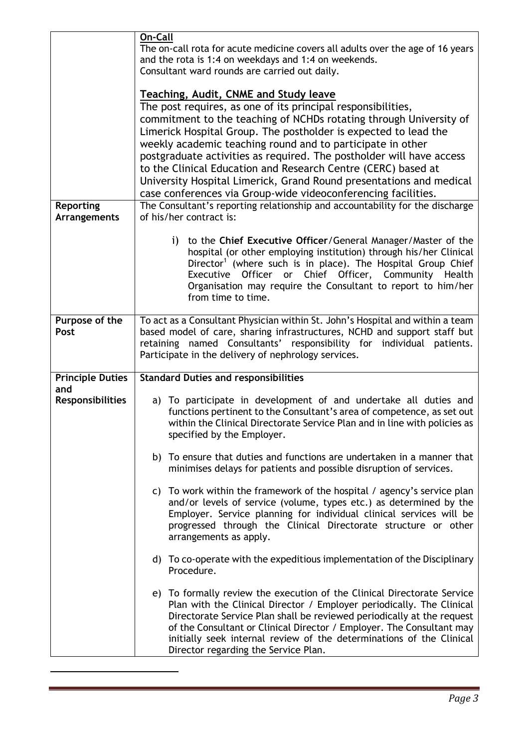|                                | On-Call<br>The on-call rota for acute medicine covers all adults over the age of 16 years<br>and the rota is 1:4 on weekdays and 1:4 on weekends.<br>Consultant ward rounds are carried out daily.<br><b>Teaching, Audit, CNME and Study leave</b><br>The post requires, as one of its principal responsibilities,<br>commitment to the teaching of NCHDs rotating through University of<br>Limerick Hospital Group. The postholder is expected to lead the<br>weekly academic teaching round and to participate in other<br>postgraduate activities as required. The postholder will have access<br>to the Clinical Education and Research Centre (CERC) based at |
|--------------------------------|--------------------------------------------------------------------------------------------------------------------------------------------------------------------------------------------------------------------------------------------------------------------------------------------------------------------------------------------------------------------------------------------------------------------------------------------------------------------------------------------------------------------------------------------------------------------------------------------------------------------------------------------------------------------|
|                                | University Hospital Limerick, Grand Round presentations and medical                                                                                                                                                                                                                                                                                                                                                                                                                                                                                                                                                                                                |
| Reporting                      | case conferences via Group-wide videoconferencing facilities.<br>The Consultant's reporting relationship and accountability for the discharge                                                                                                                                                                                                                                                                                                                                                                                                                                                                                                                      |
| <b>Arrangements</b>            | of his/her contract is:                                                                                                                                                                                                                                                                                                                                                                                                                                                                                                                                                                                                                                            |
|                                | to the Chief Executive Officer/General Manager/Master of the<br>$\mathbf{i}$<br>hospital (or other employing institution) through his/her Clinical<br>Director <sup>1</sup> (where such is in place). The Hospital Group Chief<br>Executive Officer or Chief Officer, Community Health<br>Organisation may require the Consultant to report to him/her<br>from time to time.                                                                                                                                                                                                                                                                                       |
| Purpose of the<br>Post         | To act as a Consultant Physician within St. John's Hospital and within a team<br>based model of care, sharing infrastructures, NCHD and support staff but<br>retaining named Consultants' responsibility for individual patients.<br>Participate in the delivery of nephrology services.                                                                                                                                                                                                                                                                                                                                                                           |
| <b>Principle Duties</b>        | <b>Standard Duties and responsibilities</b>                                                                                                                                                                                                                                                                                                                                                                                                                                                                                                                                                                                                                        |
| and<br><b>Responsibilities</b> | a) To participate in development of and undertake all duties and<br>functions pertinent to the Consultant's area of competence, as set out<br>within the Clinical Directorate Service Plan and in line with policies as<br>specified by the Employer.<br>b) To ensure that duties and functions are undertaken in a manner that<br>minimises delays for patients and possible disruption of services.                                                                                                                                                                                                                                                              |
|                                | c) To work within the framework of the hospital / agency's service plan<br>and/or levels of service (volume, types etc.) as determined by the<br>Employer. Service planning for individual clinical services will be<br>progressed through the Clinical Directorate structure or other<br>arrangements as apply.                                                                                                                                                                                                                                                                                                                                                   |
|                                | d) To co-operate with the expeditious implementation of the Disciplinary<br>Procedure.                                                                                                                                                                                                                                                                                                                                                                                                                                                                                                                                                                             |
|                                | e) To formally review the execution of the Clinical Directorate Service<br>Plan with the Clinical Director / Employer periodically. The Clinical<br>Directorate Service Plan shall be reviewed periodically at the request<br>of the Consultant or Clinical Director / Employer. The Consultant may<br>initially seek internal review of the determinations of the Clinical<br>Director regarding the Service Plan.                                                                                                                                                                                                                                                |

1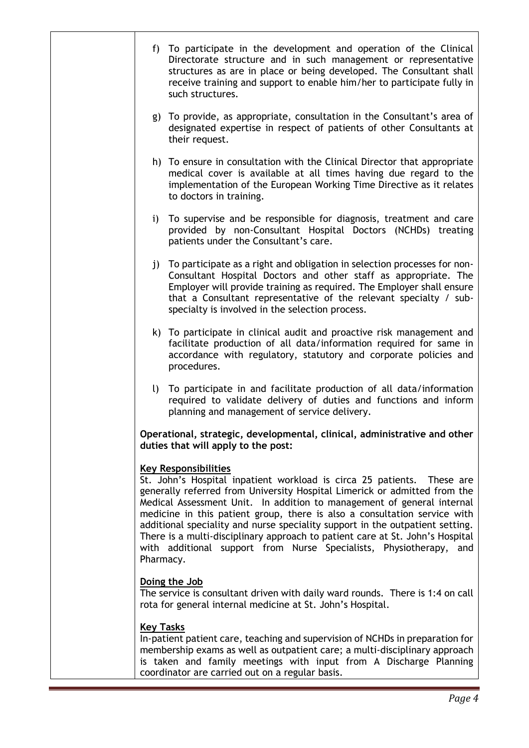| f) To participate in the development and operation of the Clinical<br>Directorate structure and in such management or representative<br>structures as are in place or being developed. The Consultant shall<br>receive training and support to enable him/her to participate fully in<br>such structures.                                                                                                                                                                                                                                                                                      |
|------------------------------------------------------------------------------------------------------------------------------------------------------------------------------------------------------------------------------------------------------------------------------------------------------------------------------------------------------------------------------------------------------------------------------------------------------------------------------------------------------------------------------------------------------------------------------------------------|
| g) To provide, as appropriate, consultation in the Consultant's area of<br>designated expertise in respect of patients of other Consultants at<br>their request.                                                                                                                                                                                                                                                                                                                                                                                                                               |
| h) To ensure in consultation with the Clinical Director that appropriate<br>medical cover is available at all times having due regard to the<br>implementation of the European Working Time Directive as it relates<br>to doctors in training.                                                                                                                                                                                                                                                                                                                                                 |
| To supervise and be responsible for diagnosis, treatment and care<br>$\mathbf{i}$<br>provided by non-Consultant Hospital Doctors (NCHDs) treating<br>patients under the Consultant's care.                                                                                                                                                                                                                                                                                                                                                                                                     |
| j) To participate as a right and obligation in selection processes for non-<br>Consultant Hospital Doctors and other staff as appropriate. The<br>Employer will provide training as required. The Employer shall ensure<br>that a Consultant representative of the relevant specialty / sub-<br>specialty is involved in the selection process.                                                                                                                                                                                                                                                |
| k) To participate in clinical audit and proactive risk management and<br>facilitate production of all data/information required for same in<br>accordance with regulatory, statutory and corporate policies and<br>procedures.                                                                                                                                                                                                                                                                                                                                                                 |
| $\mathbf{U}$<br>To participate in and facilitate production of all data/information<br>required to validate delivery of duties and functions and inform<br>planning and management of service delivery.                                                                                                                                                                                                                                                                                                                                                                                        |
| Operational, strategic, developmental, clinical, administrative and other<br>duties that will apply to the post:                                                                                                                                                                                                                                                                                                                                                                                                                                                                               |
| <b>Key Responsibilities</b><br>St. John's Hospital inpatient workload is circa 25 patients. These are<br>generally referred from University Hospital Limerick or admitted from the<br>Medical Assessment Unit. In addition to management of general internal<br>medicine in this patient group, there is also a consultation service with<br>additional speciality and nurse speciality support in the outpatient setting.<br>There is a multi-disciplinary approach to patient care at St. John's Hospital<br>with additional support from Nurse Specialists, Physiotherapy, and<br>Pharmacy. |
| Doing the Job<br>The service is consultant driven with daily ward rounds. There is 1:4 on call<br>rota for general internal medicine at St. John's Hospital.                                                                                                                                                                                                                                                                                                                                                                                                                                   |
| <b>Key Tasks</b><br>In-patient patient care, teaching and supervision of NCHDs in preparation for<br>membership exams as well as outpatient care; a multi-disciplinary approach<br>is taken and family meetings with input from A Discharge Planning<br>coordinator are carried out on a regular basis.                                                                                                                                                                                                                                                                                        |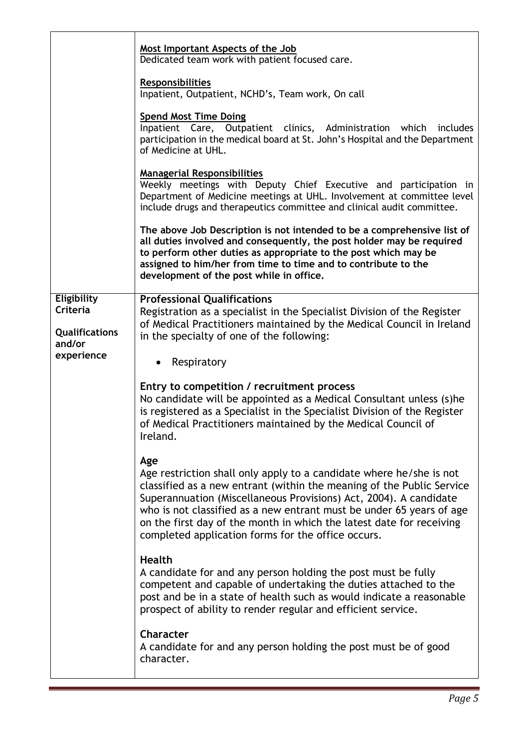|                                                                          | Most Important Aspects of the Job<br>Dedicated team work with patient focused care.<br><b>Responsibilities</b><br>Inpatient, Outpatient, NCHD's, Team work, On call<br><b>Spend Most Time Doing</b><br>Inpatient Care, Outpatient clinics, Administration which<br>includes<br>participation in the medical board at St. John's Hospital and the Department<br>of Medicine at UHL.<br><b>Managerial Responsibilities</b><br>Weekly meetings with Deputy Chief Executive and participation in<br>Department of Medicine meetings at UHL. Involvement at committee level |
|--------------------------------------------------------------------------|------------------------------------------------------------------------------------------------------------------------------------------------------------------------------------------------------------------------------------------------------------------------------------------------------------------------------------------------------------------------------------------------------------------------------------------------------------------------------------------------------------------------------------------------------------------------|
|                                                                          | include drugs and therapeutics committee and clinical audit committee.<br>The above Job Description is not intended to be a comprehensive list of<br>all duties involved and consequently, the post holder may be required<br>to perform other duties as appropriate to the post which may be<br>assigned to him/her from time to time and to contribute to the<br>development of the post while in office.                                                                                                                                                            |
| Eligibility<br>Criteria<br><b>Qualifications</b><br>and/or<br>experience | <b>Professional Qualifications</b><br>Registration as a specialist in the Specialist Division of the Register<br>of Medical Practitioners maintained by the Medical Council in Ireland<br>in the specialty of one of the following:<br>Respiratory<br>$\bullet$                                                                                                                                                                                                                                                                                                        |
|                                                                          | Entry to competition / recruitment process<br>No candidate will be appointed as a Medical Consultant unless (s)he<br>is registered as a Specialist in the Specialist Division of the Register<br>of Medical Practitioners maintained by the Medical Council of<br>Ireland.                                                                                                                                                                                                                                                                                             |
|                                                                          | Age<br>Age restriction shall only apply to a candidate where he/she is not<br>classified as a new entrant (within the meaning of the Public Service<br>Superannuation (Miscellaneous Provisions) Act, 2004). A candidate<br>who is not classified as a new entrant must be under 65 years of age<br>on the first day of the month in which the latest date for receiving<br>completed application forms for the office occurs.                                                                                                                                         |
|                                                                          | <b>Health</b><br>A candidate for and any person holding the post must be fully<br>competent and capable of undertaking the duties attached to the<br>post and be in a state of health such as would indicate a reasonable<br>prospect of ability to render regular and efficient service.                                                                                                                                                                                                                                                                              |
|                                                                          | Character<br>A candidate for and any person holding the post must be of good<br>character.                                                                                                                                                                                                                                                                                                                                                                                                                                                                             |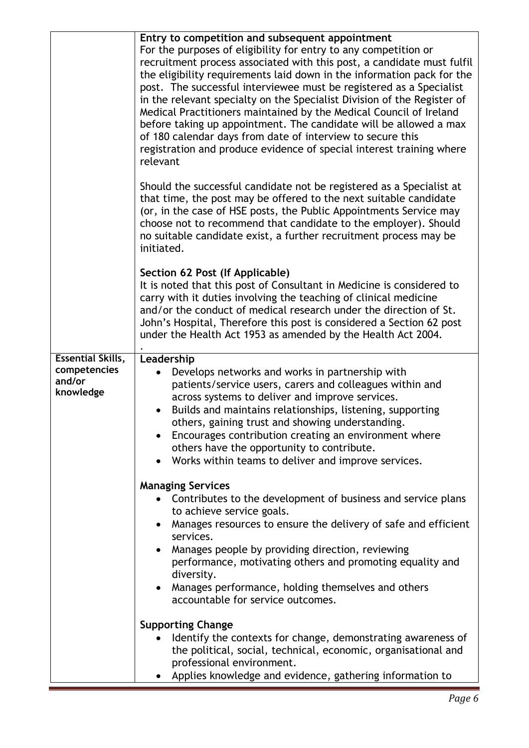|                                                                 | Entry to competition and subsequent appointment<br>For the purposes of eligibility for entry to any competition or<br>recruitment process associated with this post, a candidate must fulfil<br>the eligibility requirements laid down in the information pack for the<br>post. The successful interviewee must be registered as a Specialist<br>in the relevant specialty on the Specialist Division of the Register of<br>Medical Practitioners maintained by the Medical Council of Ireland<br>before taking up appointment. The candidate will be allowed a max<br>of 180 calendar days from date of interview to secure this<br>registration and produce evidence of special interest training where<br>relevant<br>Should the successful candidate not be registered as a Specialist at<br>that time, the post may be offered to the next suitable candidate<br>(or, in the case of HSE posts, the Public Appointments Service may<br>choose not to recommend that candidate to the employer). Should<br>no suitable candidate exist, a further recruitment process may be<br>initiated.<br>Section 62 Post (If Applicable)<br>It is noted that this post of Consultant in Medicine is considered to<br>carry with it duties involving the teaching of clinical medicine<br>and/or the conduct of medical research under the direction of St. |
|-----------------------------------------------------------------|-----------------------------------------------------------------------------------------------------------------------------------------------------------------------------------------------------------------------------------------------------------------------------------------------------------------------------------------------------------------------------------------------------------------------------------------------------------------------------------------------------------------------------------------------------------------------------------------------------------------------------------------------------------------------------------------------------------------------------------------------------------------------------------------------------------------------------------------------------------------------------------------------------------------------------------------------------------------------------------------------------------------------------------------------------------------------------------------------------------------------------------------------------------------------------------------------------------------------------------------------------------------------------------------------------------------------------------------------------|
|                                                                 | John's Hospital, Therefore this post is considered a Section 62 post<br>under the Health Act 1953 as amended by the Health Act 2004.                                                                                                                                                                                                                                                                                                                                                                                                                                                                                                                                                                                                                                                                                                                                                                                                                                                                                                                                                                                                                                                                                                                                                                                                                |
| <b>Essential Skills,</b><br>competencies<br>and/or<br>knowledge | Leadership<br>Develops networks and works in partnership with<br>patients/service users, carers and colleagues within and<br>across systems to deliver and improve services.<br>Builds and maintains relationships, listening, supporting<br>others, gaining trust and showing understanding.<br>Encourages contribution creating an environment where<br>others have the opportunity to contribute.<br>Works within teams to deliver and improve services.                                                                                                                                                                                                                                                                                                                                                                                                                                                                                                                                                                                                                                                                                                                                                                                                                                                                                         |
|                                                                 | <b>Managing Services</b><br>Contributes to the development of business and service plans<br>to achieve service goals.<br>Manages resources to ensure the delivery of safe and efficient<br>services.<br>Manages people by providing direction, reviewing<br>performance, motivating others and promoting equality and<br>diversity.<br>Manages performance, holding themselves and others<br>$\bullet$<br>accountable for service outcomes.                                                                                                                                                                                                                                                                                                                                                                                                                                                                                                                                                                                                                                                                                                                                                                                                                                                                                                         |
|                                                                 | <b>Supporting Change</b><br>Identify the contexts for change, demonstrating awareness of<br>the political, social, technical, economic, organisational and<br>professional environment.<br>Applies knowledge and evidence, gathering information to                                                                                                                                                                                                                                                                                                                                                                                                                                                                                                                                                                                                                                                                                                                                                                                                                                                                                                                                                                                                                                                                                                 |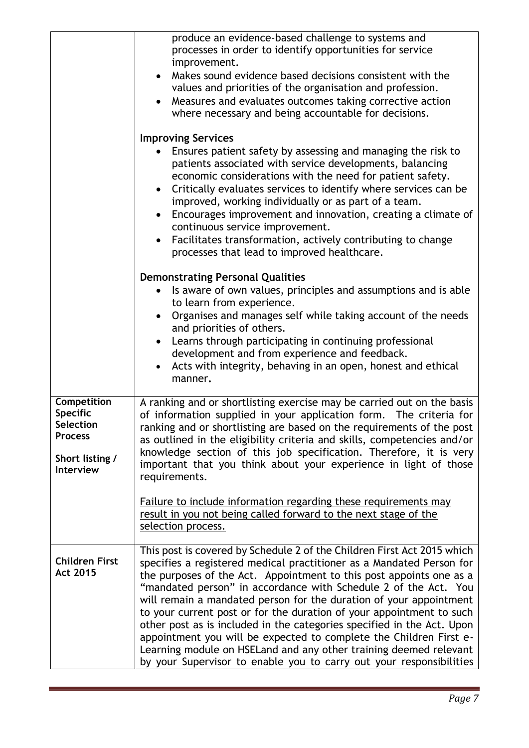|                                                                                                                    | produce an evidence-based challenge to systems and<br>processes in order to identify opportunities for service<br>improvement.<br>Makes sound evidence based decisions consistent with the<br>values and priorities of the organisation and profession.<br>Measures and evaluates outcomes taking corrective action<br>where necessary and being accountable for decisions.<br><b>Improving Services</b><br>Ensures patient safety by assessing and managing the risk to<br>patients associated with service developments, balancing<br>economic considerations with the need for patient safety.<br>Critically evaluates services to identify where services can be<br>improved, working individually or as part of a team.<br>Encourages improvement and innovation, creating a climate of<br>$\bullet$<br>continuous service improvement.<br>Facilitates transformation, actively contributing to change<br>$\bullet$<br>processes that lead to improved healthcare.<br><b>Demonstrating Personal Qualities</b><br>Is aware of own values, principles and assumptions and is able<br>to learn from experience.<br>Organises and manages self while taking account of the needs<br>$\bullet$<br>and priorities of others.<br>• Learns through participating in continuing professional<br>development and from experience and feedback.<br>Acts with integrity, behaving in an open, honest and ethical<br>manner. |
|--------------------------------------------------------------------------------------------------------------------|----------------------------------------------------------------------------------------------------------------------------------------------------------------------------------------------------------------------------------------------------------------------------------------------------------------------------------------------------------------------------------------------------------------------------------------------------------------------------------------------------------------------------------------------------------------------------------------------------------------------------------------------------------------------------------------------------------------------------------------------------------------------------------------------------------------------------------------------------------------------------------------------------------------------------------------------------------------------------------------------------------------------------------------------------------------------------------------------------------------------------------------------------------------------------------------------------------------------------------------------------------------------------------------------------------------------------------------------------------------------------------------------------------------------|
| <b>Competition</b><br><b>Specific</b><br><b>Selection</b><br><b>Process</b><br>Short listing /<br><b>Interview</b> | A ranking and or shortlisting exercise may be carried out on the basis<br>of information supplied in your application form. The criteria for<br>ranking and or shortlisting are based on the requirements of the post<br>as outlined in the eligibility criteria and skills, competencies and/or<br>knowledge section of this job specification. Therefore, it is very<br>important that you think about your experience in light of those<br>requirements.<br>Failure to include information regarding these requirements may<br>result in you not being called forward to the next stage of the<br>selection process.                                                                                                                                                                                                                                                                                                                                                                                                                                                                                                                                                                                                                                                                                                                                                                                              |
| <b>Children First</b><br><b>Act 2015</b>                                                                           | This post is covered by Schedule 2 of the Children First Act 2015 which<br>specifies a registered medical practitioner as a Mandated Person for<br>the purposes of the Act. Appointment to this post appoints one as a<br>"mandated person" in accordance with Schedule 2 of the Act. You<br>will remain a mandated person for the duration of your appointment<br>to your current post or for the duration of your appointment to such<br>other post as is included in the categories specified in the Act. Upon<br>appointment you will be expected to complete the Children First e-<br>Learning module on HSELand and any other training deemed relevant<br>by your Supervisor to enable you to carry out your responsibilities                                                                                                                                                                                                                                                                                                                                                                                                                                                                                                                                                                                                                                                                                  |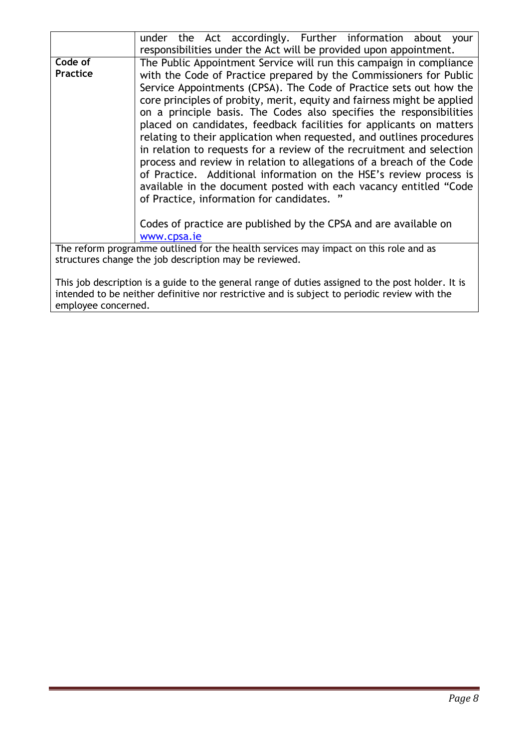|                                                                                                   | under the Act accordingly. Further information about your               |
|---------------------------------------------------------------------------------------------------|-------------------------------------------------------------------------|
|                                                                                                   | responsibilities under the Act will be provided upon appointment.       |
| Code of                                                                                           | The Public Appointment Service will run this campaign in compliance     |
| <b>Practice</b>                                                                                   | with the Code of Practice prepared by the Commissioners for Public      |
|                                                                                                   | Service Appointments (CPSA). The Code of Practice sets out how the      |
|                                                                                                   | core principles of probity, merit, equity and fairness might be applied |
|                                                                                                   |                                                                         |
|                                                                                                   | on a principle basis. The Codes also specifies the responsibilities     |
|                                                                                                   | placed on candidates, feedback facilities for applicants on matters     |
|                                                                                                   | relating to their application when requested, and outlines procedures   |
|                                                                                                   | in relation to requests for a review of the recruitment and selection   |
|                                                                                                   | process and review in relation to allegations of a breach of the Code   |
|                                                                                                   | of Practice. Additional information on the HSE's review process is      |
|                                                                                                   | available in the document posted with each vacancy entitled "Code       |
|                                                                                                   | of Practice, information for candidates. "                              |
|                                                                                                   |                                                                         |
|                                                                                                   |                                                                         |
|                                                                                                   | Codes of practice are published by the CPSA and are available on        |
|                                                                                                   | www.cpsa.ie                                                             |
| The reform programme outlined for the health services may impact on this role and as              |                                                                         |
| structures change the job description may be reviewed.                                            |                                                                         |
|                                                                                                   |                                                                         |
| This job description is a guide to the general range of duties assigned to the post holder. It is |                                                                         |
| intended to be neither definitive nor restrictive and is subject to periodic review with the      |                                                                         |
| employee concerned.                                                                               |                                                                         |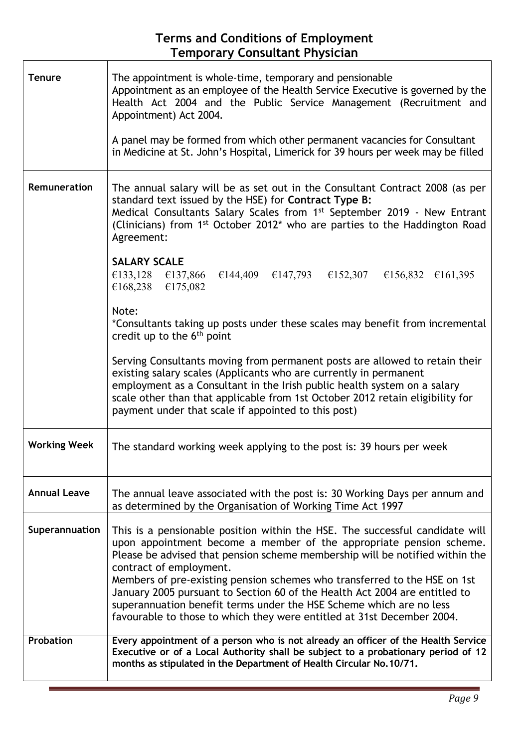## **Terms and Conditions of Employment Temporary Consultant Physician**

| <b>Tenure</b>       | The appointment is whole-time, temporary and pensionable<br>Appointment as an employee of the Health Service Executive is governed by the<br>Health Act 2004 and the Public Service Management (Recruitment and<br>Appointment) Act 2004.<br>A panel may be formed from which other permanent vacancies for Consultant<br>in Medicine at St. John's Hospital, Limerick for 39 hours per week may be filled                                                                                                                                                                 |
|---------------------|----------------------------------------------------------------------------------------------------------------------------------------------------------------------------------------------------------------------------------------------------------------------------------------------------------------------------------------------------------------------------------------------------------------------------------------------------------------------------------------------------------------------------------------------------------------------------|
| Remuneration        | The annual salary will be as set out in the Consultant Contract 2008 (as per<br>standard text issued by the HSE) for Contract Type B:<br>Medical Consultants Salary Scales from 1 <sup>st</sup> September 2019 - New Entrant<br>(Clinicians) from 1 <sup>st</sup> October 2012 <sup>*</sup> who are parties to the Haddington Road<br>Agreement:<br><b>SALARY SCALE</b><br>€133,128 €137,866 €144,409 €147,793 €152,307 €156,832 €161,395                                                                                                                                  |
|                     | €168,238 €175,082<br>Note:<br>*Consultants taking up posts under these scales may benefit from incremental<br>credit up to the $6th$ point<br>Serving Consultants moving from permanent posts are allowed to retain their<br>existing salary scales (Applicants who are currently in permanent<br>employment as a Consultant in the Irish public health system on a salary<br>scale other than that applicable from 1st October 2012 retain eligibility for<br>payment under that scale if appointed to this post)                                                         |
| <b>Working Week</b> | The standard working week applying to the post is: 39 hours per week                                                                                                                                                                                                                                                                                                                                                                                                                                                                                                       |
| <b>Annual Leave</b> | The annual leave associated with the post is: 30 Working Days per annum and<br>as determined by the Organisation of Working Time Act 1997                                                                                                                                                                                                                                                                                                                                                                                                                                  |
| Superannuation      | This is a pensionable position within the HSE. The successful candidate will<br>upon appointment become a member of the appropriate pension scheme.<br>Please be advised that pension scheme membership will be notified within the<br>contract of employment.<br>Members of pre-existing pension schemes who transferred to the HSE on 1st<br>January 2005 pursuant to Section 60 of the Health Act 2004 are entitled to<br>superannuation benefit terms under the HSE Scheme which are no less<br>favourable to those to which they were entitled at 31st December 2004. |
| <b>Probation</b>    | Every appointment of a person who is not already an officer of the Health Service<br>Executive or of a Local Authority shall be subject to a probationary period of 12<br>months as stipulated in the Department of Health Circular No.10/71.                                                                                                                                                                                                                                                                                                                              |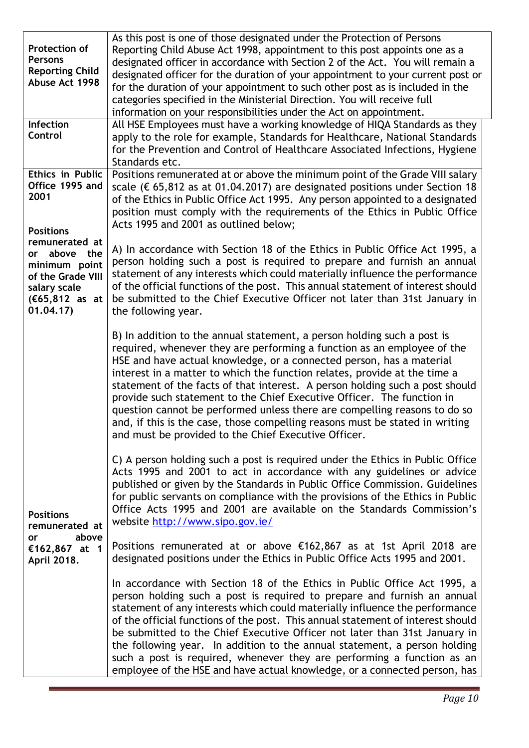| Protection of<br><b>Persons</b><br><b>Reporting Child</b><br>Abuse Act 1998                                            | As this post is one of those designated under the Protection of Persons<br>Reporting Child Abuse Act 1998, appointment to this post appoints one as a<br>designated officer in accordance with Section 2 of the Act. You will remain a<br>designated officer for the duration of your appointment to your current post or<br>for the duration of your appointment to such other post as is included in the<br>categories specified in the Ministerial Direction. You will receive full<br>information on your responsibilities under the Act on appointment.                                                                                                                           |
|------------------------------------------------------------------------------------------------------------------------|----------------------------------------------------------------------------------------------------------------------------------------------------------------------------------------------------------------------------------------------------------------------------------------------------------------------------------------------------------------------------------------------------------------------------------------------------------------------------------------------------------------------------------------------------------------------------------------------------------------------------------------------------------------------------------------|
| Infection<br>Control                                                                                                   | All HSE Employees must have a working knowledge of HIQA Standards as they<br>apply to the role for example, Standards for Healthcare, National Standards<br>for the Prevention and Control of Healthcare Associated Infections, Hygiene<br>Standards etc.                                                                                                                                                                                                                                                                                                                                                                                                                              |
| <b>Ethics in Public</b><br>Office 1995 and<br>2001<br><b>Positions</b>                                                 | Positions remunerated at or above the minimum point of the Grade VIII salary<br>scale ( $\epsilon$ 65,812 as at 01.04.2017) are designated positions under Section 18<br>of the Ethics in Public Office Act 1995. Any person appointed to a designated<br>position must comply with the requirements of the Ethics in Public Office<br>Acts 1995 and 2001 as outlined below;                                                                                                                                                                                                                                                                                                           |
| remunerated at<br>or above the<br>minimum point<br>of the Grade VIII<br>salary scale<br>$(E65, 812$ as at<br>01.04.17) | A) In accordance with Section 18 of the Ethics in Public Office Act 1995, a<br>person holding such a post is required to prepare and furnish an annual<br>statement of any interests which could materially influence the performance<br>of the official functions of the post. This annual statement of interest should<br>be submitted to the Chief Executive Officer not later than 31st January in<br>the following year.                                                                                                                                                                                                                                                          |
|                                                                                                                        | B) In addition to the annual statement, a person holding such a post is<br>required, whenever they are performing a function as an employee of the<br>HSE and have actual knowledge, or a connected person, has a material<br>interest in a matter to which the function relates, provide at the time a<br>statement of the facts of that interest. A person holding such a post should<br>provide such statement to the Chief Executive Officer. The function in<br>question cannot be performed unless there are compelling reasons to do so<br>and, if this is the case, those compelling reasons must be stated in writing<br>and must be provided to the Chief Executive Officer. |
| <b>Positions</b><br>remunerated at                                                                                     | C) A person holding such a post is required under the Ethics in Public Office<br>Acts 1995 and 2001 to act in accordance with any guidelines or advice<br>published or given by the Standards in Public Office Commission. Guidelines<br>for public servants on compliance with the provisions of the Ethics in Public<br>Office Acts 1995 and 2001 are available on the Standards Commission's<br>website http://www.sipo.gov.ie/                                                                                                                                                                                                                                                     |
| above<br>or<br>€162,867 at 1<br>April 2018.                                                                            | Positions remunerated at or above €162,867 as at 1st April 2018 are<br>designated positions under the Ethics in Public Office Acts 1995 and 2001.                                                                                                                                                                                                                                                                                                                                                                                                                                                                                                                                      |
|                                                                                                                        | In accordance with Section 18 of the Ethics in Public Office Act 1995, a<br>person holding such a post is required to prepare and furnish an annual<br>statement of any interests which could materially influence the performance<br>of the official functions of the post. This annual statement of interest should<br>be submitted to the Chief Executive Officer not later than 31st January in<br>the following year. In addition to the annual statement, a person holding<br>such a post is required, whenever they are performing a function as an<br>employee of the HSE and have actual knowledge, or a connected person, has                                                |